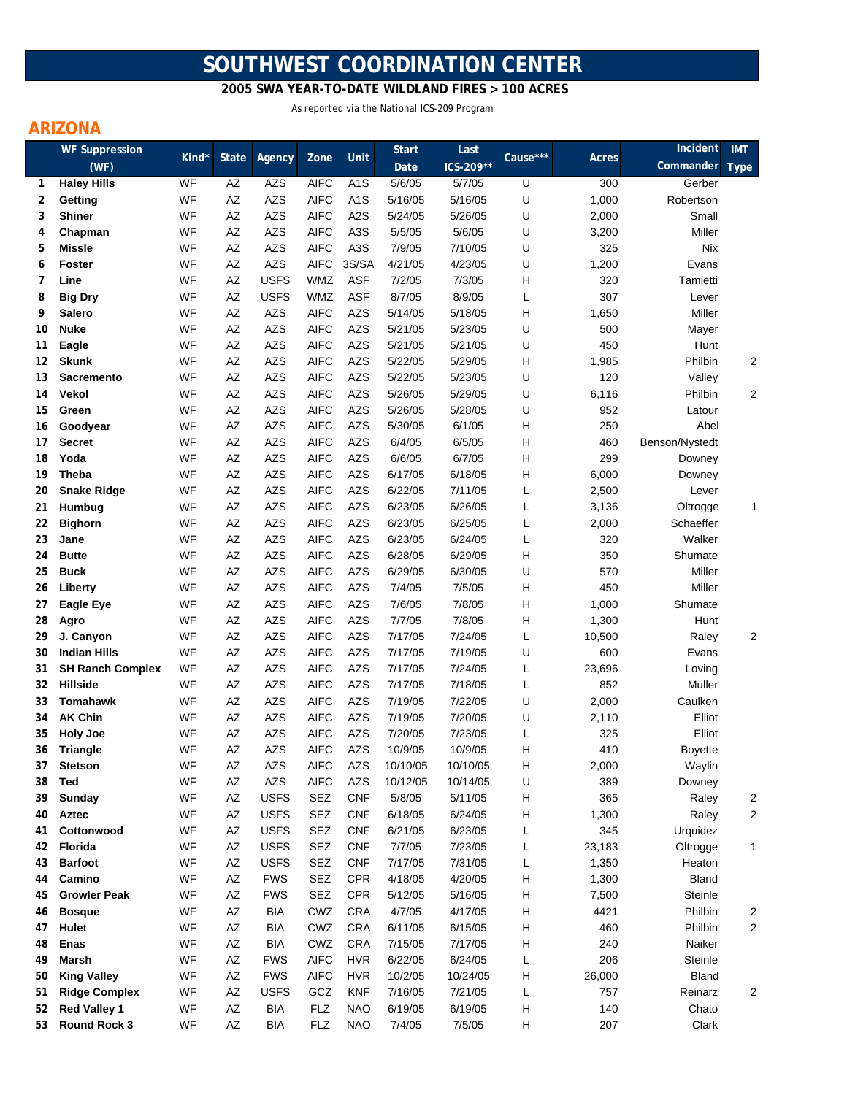# **SOUTHWEST COORDINATION CENTER**

 **2005 SWA YEAR-TO-DATE WILDLAND FIRES > 100 ACRES**

As reported via the National ICS-209 Program

## **ARIZONA**

|          | <b>WF Suppression</b>       | Kind*    |                        |                          |                            | Unit                     | <b>Start</b>      | Last              | Cause*** |            | Incident         | <b>IMT</b>  |
|----------|-----------------------------|----------|------------------------|--------------------------|----------------------------|--------------------------|-------------------|-------------------|----------|------------|------------------|-------------|
|          | (WF)                        |          | <b>State</b>           | Agency                   | Zone                       |                          | Date              | ICS-209**         |          | Acres      | Commander        | <b>Type</b> |
| 1        | <b>Haley Hills</b>          | WF       | AZ                     | <b>AZS</b>               | <b>AIFC</b>                | A <sub>1</sub> S         | 5/6/05            | 5/7/05            | U        | 300        | Gerber           |             |
| 2        | Getting                     | WF       | AZ                     | <b>AZS</b>               | <b>AIFC</b>                | A <sub>1</sub> S         | 5/16/05           | 5/16/05           | U        | 1,000      | Robertson        |             |
| 3        | <b>Shiner</b>               | WF       | AZ                     | <b>AZS</b>               | <b>AIFC</b>                | A <sub>2</sub> S         | 5/24/05           | 5/26/05           | U        | 2,000      | Small            |             |
| 4        | Chapman                     | WF       | AZ                     | <b>AZS</b>               | <b>AIFC</b>                | A <sub>3</sub> S         | 5/5/05            | 5/6/05            | U        | 3,200      | Miller           |             |
| 5        | <b>Missle</b>               | WF       | $\mathsf{A}\mathsf{Z}$ | <b>AZS</b>               | <b>AIFC</b>                | A <sub>3</sub> S         | 7/9/05            | 7/10/05           | U        | 325        | Nix              |             |
| 6        | <b>Foster</b>               | WF       | $\mathsf{A}\mathsf{Z}$ | <b>AZS</b>               | <b>AIFC</b>                | 3S/SA                    | 4/21/05           | 4/23/05           | U        | 1,200      | Evans            |             |
| 7        | Line                        | WF       | AZ                     | <b>USFS</b>              | <b>WMZ</b>                 | <b>ASF</b>               | 7/2/05            | 7/3/05            | н        | 320        | Tamietti         |             |
| 8        | <b>Big Dry</b>              | WF       | AZ                     | <b>USFS</b>              | <b>WMZ</b>                 | <b>ASF</b>               | 8/7/05            | 8/9/05            | L        | 307        | Lever            |             |
| 9        | Salero                      | WF       | AZ                     | <b>AZS</b>               | <b>AIFC</b>                | <b>AZS</b>               | 5/14/05           | 5/18/05           | н        | 1,650      | Miller           |             |
| 10       | <b>Nuke</b>                 | WF       | AZ                     | <b>AZS</b>               | <b>AIFC</b>                | <b>AZS</b>               | 5/21/05           | 5/23/05           | U        | 500        | Mayer            |             |
| 11       | Eagle                       | WF       | AZ                     | <b>AZS</b>               | <b>AIFC</b>                | <b>AZS</b>               | 5/21/05           | 5/21/05           | U        | 450        | Hunt             |             |
| 12       | <b>Skunk</b>                | WF       | AZ                     | <b>AZS</b>               | <b>AIFC</b>                | <b>AZS</b>               | 5/22/05           | 5/29/05           | н        | 1,985      | Philbin          | 2           |
| 13       | <b>Sacremento</b>           | WF       | AZ                     | <b>AZS</b>               | <b>AIFC</b>                | <b>AZS</b>               | 5/22/05           | 5/23/05           | U        | 120        | Valley           |             |
| 14       | Vekol                       | WF       | AZ                     | <b>AZS</b>               | <b>AIFC</b>                | <b>AZS</b>               | 5/26/05           | 5/29/05           | U        | 6,116      | Philbin          | 2           |
| 15       | Green                       | WF       | AZ                     | <b>AZS</b>               | <b>AIFC</b>                | <b>AZS</b>               | 5/26/05           | 5/28/05           | U        | 952        | Latour           |             |
| 16       | Goodyear                    | WF       | AZ                     | <b>AZS</b>               | <b>AIFC</b>                | <b>AZS</b>               | 5/30/05           | 6/1/05            | н        | 250        | Abel             |             |
| 17       | <b>Secret</b>               | WF       | AZ                     | <b>AZS</b>               | <b>AIFC</b>                | <b>AZS</b>               | 6/4/05            | 6/5/05            | н        | 460        | Benson/Nystedt   |             |
| 18       | Yoda                        | WF       | AZ                     | <b>AZS</b>               | <b>AIFC</b>                | <b>AZS</b>               | 6/6/05            | 6/7/05            | н        | 299        | Downey           |             |
| 19       | Theba                       | WF       | AZ                     | <b>AZS</b>               | <b>AIFC</b>                | <b>AZS</b>               | 6/17/05           | 6/18/05           | н        | 6,000      | Downey           |             |
| 20       | <b>Snake Ridge</b>          | WF       | AZ                     | <b>AZS</b>               | <b>AIFC</b>                | <b>AZS</b>               | 6/22/05           | 7/11/05           | L        | 2,500      | Lever            |             |
| 21       | Humbug                      | WF       | AZ                     | <b>AZS</b>               | <b>AIFC</b>                | <b>AZS</b>               | 6/23/05           | 6/26/05           | L        | 3,136      | Oltrogge         | 1           |
| 22       | <b>Bighorn</b>              | WF       | AZ                     | <b>AZS</b>               | <b>AIFC</b>                | <b>AZS</b>               | 6/23/05           | 6/25/05           | L        | 2,000      | Schaeffer        |             |
| 23       | Jane                        | WF<br>WF | $\mathsf{A}\mathsf{Z}$ | <b>AZS</b>               | <b>AIFC</b><br><b>AIFC</b> | <b>AZS</b>               | 6/23/05           | 6/24/05           | L        | 320        | Walker           |             |
| 24       | <b>Butte</b>                | WF       | AZ                     | <b>AZS</b>               | <b>AIFC</b>                | <b>AZS</b><br><b>AZS</b> | 6/28/05           | 6/29/05           | н        | 350        | Shumate          |             |
| 25       | <b>Buck</b>                 | WF       | AZ<br>AZ               | <b>AZS</b><br><b>AZS</b> | <b>AIFC</b>                | <b>AZS</b>               | 6/29/05<br>7/4/05 | 6/30/05<br>7/5/05 | U<br>H   | 570<br>450 | Miller<br>Miller |             |
| 26<br>27 | Liberty<br><b>Eagle Eye</b> | WF       | AZ                     | <b>AZS</b>               | <b>AIFC</b>                | <b>AZS</b>               | 7/6/05            | 7/8/05            | н        | 1,000      | Shumate          |             |
| 28       | Agro                        | WF       | AZ                     | <b>AZS</b>               | <b>AIFC</b>                | <b>AZS</b>               | 7/7/05            | 7/8/05            | н        | 1,300      | Hunt             |             |
| 29       | J. Canyon                   | WF       | AZ                     | <b>AZS</b>               | <b>AIFC</b>                | <b>AZS</b>               | 7/17/05           | 7/24/05           | L        | 10,500     | Raley            | 2           |
| 30       | <b>Indian Hills</b>         | WF       | AZ                     | <b>AZS</b>               | <b>AIFC</b>                | <b>AZS</b>               | 7/17/05           | 7/19/05           | U        | 600        | Evans            |             |
| 31       | <b>SH Ranch Complex</b>     | WF       | AZ                     | <b>AZS</b>               | <b>AIFC</b>                | <b>AZS</b>               | 7/17/05           | 7/24/05           | L        | 23,696     | Loving           |             |
| 32       | <b>Hillside</b>             | WF       | AZ                     | <b>AZS</b>               | <b>AIFC</b>                | <b>AZS</b>               | 7/17/05           | 7/18/05           | L        | 852        | Muller           |             |
| 33       | <b>Tomahawk</b>             | WF       | AZ                     | <b>AZS</b>               | <b>AIFC</b>                | AZS                      | 7/19/05           | 7/22/05           | U        | 2,000      | Caulken          |             |
| 34       | <b>AK Chin</b>              | WF       | AZ                     | <b>AZS</b>               | <b>AIFC</b>                | <b>AZS</b>               | 7/19/05           | 7/20/05           | U        | 2,110      | Elliot           |             |
| 35       | <b>Holy Joe</b>             | WF       | AZ                     | <b>AZS</b>               | <b>AIFC</b>                | <b>AZS</b>               | 7/20/05           | 7/23/05           | L        | 325        | Elliot           |             |
| 36       | <b>Triangle</b>             | WF       | AZ                     | <b>AZS</b>               | <b>AIFC</b>                | <b>AZS</b>               | 10/9/05           | 10/9/05           | н        | 410        | <b>Boyette</b>   |             |
| 37       | <b>Stetson</b>              | WF       | ΑZ                     | AZS                      | AIFC                       | AZS                      | 10/10/05          | 10/10/05          | н        | 2,000      | Waylin           |             |
| 38       | <b>Ted</b>                  | WF       | AZ                     | <b>AZS</b>               | <b>AIFC</b>                | <b>AZS</b>               | 10/12/05          | 10/14/05          | U        | 389        | Downey           |             |
| 39       | <b>Sunday</b>               | WF       | $\mathsf{A}\mathsf{Z}$ | <b>USFS</b>              | SEZ                        | <b>CNF</b>               | 5/8/05            | 5/11/05           | н        | 365        | Raley            | 2           |
| 40       | Aztec                       | WF       | AZ                     | <b>USFS</b>              | SEZ                        | <b>CNF</b>               | 6/18/05           | 6/24/05           | н        | 1,300      | Raley            | 2           |
| 41       | Cottonwood                  | WF       | AZ                     | <b>USFS</b>              | <b>SEZ</b>                 | <b>CNF</b>               | 6/21/05           | 6/23/05           | L        | 345        | Urquidez         |             |
| 42       | Florida                     | WF       | AZ                     | <b>USFS</b>              | SEZ                        | <b>CNF</b>               | 7/7/05            | 7/23/05           | L        | 23,183     | Oltrogge         | 1           |
| 43       | <b>Barfoot</b>              | WF       | $\mathsf{A}\mathsf{Z}$ | <b>USFS</b>              | <b>SEZ</b>                 | <b>CNF</b>               | 7/17/05           | 7/31/05           | L        | 1,350      | Heaton           |             |
| 44       | Camino                      | WF       | $\mathsf{A}\mathsf{Z}$ | <b>FWS</b>               | SEZ                        | <b>CPR</b>               | 4/18/05           | 4/20/05           | Н        | 1,300      | Bland            |             |
| 45       | <b>Growler Peak</b>         | WF       | AZ                     | <b>FWS</b>               | SEZ                        | <b>CPR</b>               | 5/12/05           | 5/16/05           | н        | 7,500      | Steinle          |             |
| 46       | <b>Bosque</b>               | WF       | AZ                     | <b>BIA</b>               | CWZ                        | <b>CRA</b>               | 4/7/05            | 4/17/05           | н        | 4421       | Philbin          | 2           |
| 47       | Hulet                       | WF       | AZ                     | <b>BIA</b>               | CWZ                        | <b>CRA</b>               | 6/11/05           | 6/15/05           | н        | 460        | Philbin          | 2           |
| 48       | <b>Enas</b>                 | WF       | AZ                     | <b>BIA</b>               | CWZ                        | <b>CRA</b>               | 7/15/05           | 7/17/05           | н        | 240        | Naiker           |             |
| 49       | Marsh                       | WF       | AZ                     | <b>FWS</b>               | <b>AIFC</b>                | <b>HVR</b>               | 6/22/05           | 6/24/05           | L        | 206        | Steinle          |             |
| 50       | <b>King Valley</b>          | WF       | AZ                     | <b>FWS</b>               | <b>AIFC</b>                | <b>HVR</b>               | 10/2/05           | 10/24/05          | н        | 26,000     | <b>Bland</b>     |             |
| 51       | <b>Ridge Complex</b>        | WF       | AZ                     | <b>USFS</b>              | GCZ                        | <b>KNF</b>               | 7/16/05           | 7/21/05           | L        | 757        | Reinarz          | 2           |
| 52       | <b>Red Valley 1</b>         | WF       | AZ                     | <b>BIA</b>               | <b>FLZ</b>                 | <b>NAO</b>               | 6/19/05           | 6/19/05           | н        | 140        | Chato            |             |
| 53       | <b>Round Rock 3</b>         | WF       | AZ                     | BIA                      | <b>FLZ</b>                 | <b>NAO</b>               | 7/4/05            | 7/5/05            | н        | 207        | Clark            |             |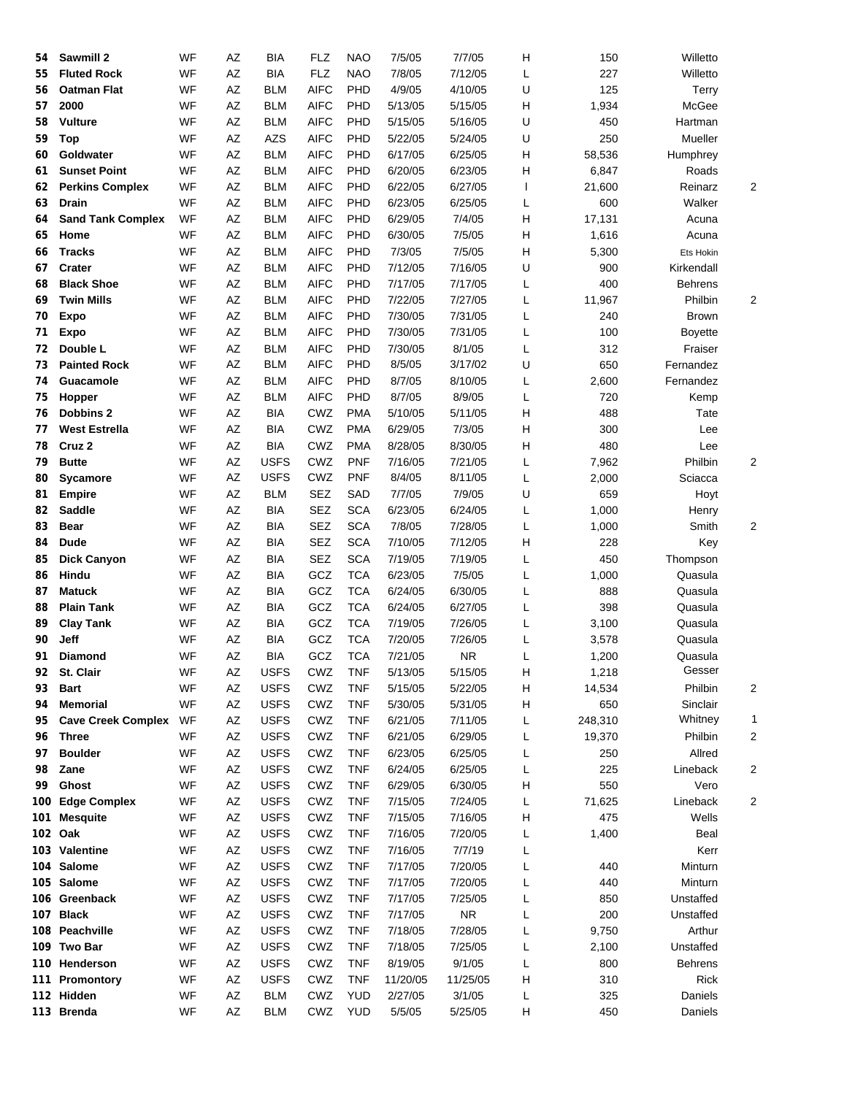| 54 | Sawmill 2                 | WF | AZ                     | BIA         | <b>FLZ</b>                | <b>NAO</b> | 7/5/05   | 7/7/05    | Н | 150     | Willetto       |                         |
|----|---------------------------|----|------------------------|-------------|---------------------------|------------|----------|-----------|---|---------|----------------|-------------------------|
| 55 | <b>Fluted Rock</b>        | WF | AZ                     | <b>BIA</b>  | <b>FLZ</b>                | <b>NAO</b> | 7/8/05   | 7/12/05   | Г | 227     | Willetto       |                         |
| 56 | <b>Oatman Flat</b>        | WF | AZ                     | <b>BLM</b>  | <b>AIFC</b>               | PHD        | 4/9/05   | 4/10/05   | U | 125     | Terry          |                         |
| 57 | 2000                      | WF | AZ                     | <b>BLM</b>  | <b>AIFC</b>               | PHD        | 5/13/05  | 5/15/05   | н | 1,934   | McGee          |                         |
| 58 | <b>Vulture</b>            | WF | AZ                     | <b>BLM</b>  | <b>AIFC</b>               | PHD        | 5/15/05  | 5/16/05   | U | 450     | Hartman        |                         |
| 59 | <b>Top</b>                | WF | AZ                     | <b>AZS</b>  | <b>AIFC</b>               | PHD        | 5/22/05  | 5/24/05   | U | 250     | Mueller        |                         |
| 60 | Goldwater                 | WF | AZ                     | <b>BLM</b>  | <b>AIFC</b>               | PHD        | 6/17/05  | 6/25/05   | н | 58,536  | Humphrey       |                         |
| 61 | <b>Sunset Point</b>       | WF | AZ                     | <b>BLM</b>  | <b>AIFC</b>               | PHD        | 6/20/05  | 6/23/05   | н | 6,847   | Roads          |                         |
| 62 | <b>Perkins Complex</b>    | WF | AZ                     | <b>BLM</b>  | <b>AIFC</b>               | PHD        | 6/22/05  | 6/27/05   | ı | 21,600  | Reinarz        | $\overline{\mathbf{c}}$ |
| 63 | Drain                     | WF | AZ                     | <b>BLM</b>  | <b>AIFC</b>               | PHD        | 6/23/05  | 6/25/05   | L | 600     | Walker         |                         |
| 64 | <b>Sand Tank Complex</b>  | WF | AZ                     | <b>BLM</b>  | <b>AIFC</b>               | PHD        | 6/29/05  | 7/4/05    | Н | 17,131  | Acuna          |                         |
| 65 | Home                      | WF | AZ                     | <b>BLM</b>  | <b>AIFC</b>               | PHD        | 6/30/05  | 7/5/05    | н | 1,616   | Acuna          |                         |
| 66 | <b>Tracks</b>             | WF | AZ                     | <b>BLM</b>  | <b>AIFC</b>               | PHD        | 7/3/05   | 7/5/05    | н | 5,300   | Ets Hokin      |                         |
| 67 | Crater                    | WF | AZ                     | <b>BLM</b>  | <b>AIFC</b>               | PHD        | 7/12/05  | 7/16/05   | U | 900     | Kirkendall     |                         |
| 68 | <b>Black Shoe</b>         | WF | AZ                     | <b>BLM</b>  | <b>AIFC</b>               | PHD        | 7/17/05  | 7/17/05   | L | 400     | <b>Behrens</b> |                         |
| 69 | <b>Twin Mills</b>         | WF | AZ                     | <b>BLM</b>  | <b>AIFC</b>               | PHD        | 7/22/05  | 7/27/05   | L | 11,967  | Philbin        | 2                       |
| 70 | <b>Expo</b>               | WF | AZ                     | <b>BLM</b>  | <b>AIFC</b>               | PHD        | 7/30/05  | 7/31/05   | L | 240     | Brown          |                         |
| 71 | <b>Expo</b>               | WF | AZ                     | <b>BLM</b>  | <b>AIFC</b>               | PHD        | 7/30/05  | 7/31/05   | L | 100     | <b>Boyette</b> |                         |
| 72 | Double L                  | WF | AZ                     | <b>BLM</b>  | <b>AIFC</b>               | PHD        | 7/30/05  | 8/1/05    | L | 312     | Fraiser        |                         |
| 73 | <b>Painted Rock</b>       | WF | AZ                     | <b>BLM</b>  | <b>AIFC</b>               | PHD        | 8/5/05   | 3/17/02   | U | 650     | Fernandez      |                         |
| 74 | Guacamole                 | WF | AZ                     | <b>BLM</b>  | <b>AIFC</b>               | PHD        | 8/7/05   | 8/10/05   | L | 2,600   | Fernandez      |                         |
| 75 | Hopper                    | WF | AZ                     | <b>BLM</b>  | <b>AIFC</b>               | PHD        | 8/7/05   | 8/9/05    | L | 720     | Kemp           |                         |
| 76 | <b>Dobbins 2</b>          | WF | AZ                     | <b>BIA</b>  | CWZ                       | <b>PMA</b> | 5/10/05  | 5/11/05   | н | 488     | Tate           |                         |
| 77 | <b>West Estrella</b>      | WF | AZ                     | BIA         | CWZ                       | <b>PMA</b> | 6/29/05  | 7/3/05    | н | 300     | Lee            |                         |
| 78 | Cruz <sub>2</sub>         | WF | AZ                     | BIA         | CWZ                       | <b>PMA</b> | 8/28/05  | 8/30/05   | Н | 480     | Lee            |                         |
| 79 | <b>Butte</b>              | WF | AZ                     | <b>USFS</b> | CWZ                       | <b>PNF</b> | 7/16/05  | 7/21/05   | L | 7,962   | Philbin        | 2                       |
| 80 | <b>Sycamore</b>           | WF | AZ                     | <b>USFS</b> | CWZ                       | <b>PNF</b> | 8/4/05   | 8/11/05   | Г | 2,000   | Sciacca        |                         |
| 81 | <b>Empire</b>             | WF | AZ                     | <b>BLM</b>  | <b>SEZ</b>                | SAD        | 7/7/05   | 7/9/05    | U | 659     | Hoyt           |                         |
| 82 | <b>Saddle</b>             | WF | AZ                     | <b>BIA</b>  | <b>SEZ</b>                | <b>SCA</b> | 6/23/05  | 6/24/05   | L | 1,000   | Henry          |                         |
| 83 | <b>Bear</b>               | WF | AZ                     | BIA         | <b>SEZ</b>                | <b>SCA</b> | 7/8/05   | 7/28/05   | L | 1,000   | Smith          | 2                       |
| 84 | <b>Dude</b>               | WF | AZ                     | BIA         | <b>SEZ</b>                | <b>SCA</b> | 7/10/05  | 7/12/05   | Н | 228     | Key            |                         |
| 85 | <b>Dick Canyon</b>        | WF | AZ                     | BIA         | <b>SEZ</b>                | <b>SCA</b> | 7/19/05  | 7/19/05   | L | 450     | Thompson       |                         |
| 86 | Hindu                     | WF | AZ                     | BIA         | GCZ                       | <b>TCA</b> | 6/23/05  | 7/5/05    | L | 1,000   | Quasula        |                         |
| 87 | <b>Matuck</b>             | WF | AZ                     | BIA         | GCZ                       | <b>TCA</b> | 6/24/05  | 6/30/05   | L | 888     | Quasula        |                         |
| 88 | <b>Plain Tank</b>         | WF | AZ                     | BIA         | GCZ                       | <b>TCA</b> | 6/24/05  | 6/27/05   | L | 398     | Quasula        |                         |
| 89 | <b>Clay Tank</b>          | WF | AZ                     | <b>BIA</b>  | GCZ                       | <b>TCA</b> | 7/19/05  | 7/26/05   | L | 3,100   | Quasula        |                         |
| 90 | Jeff                      | WF | AZ                     | <b>BIA</b>  | GCZ                       | <b>TCA</b> | 7/20/05  | 7/26/05   | L | 3,578   | Quasula        |                         |
| 91 | <b>Diamond</b>            | WF | AZ                     | <b>BIA</b>  | GCZ                       | <b>TCA</b> | 7/21/05  | <b>NR</b> | L | 1,200   | Quasula        |                         |
| 92 | St. Clair                 | WF | $\mathsf{A}\mathsf{Z}$ | <b>USFS</b> | ${\sf C} {\sf W} {\sf Z}$ | <b>TNF</b> | 5/13/05  | 5/15/05   | Н | 1,218   | Gesser         |                         |
| 93 | <b>Bart</b>               | WF | AZ                     | <b>USFS</b> | CWZ                       | <b>TNF</b> | 5/15/05  | 5/22/05   | н | 14,534  | Philbin        | 2                       |
| 94 | <b>Memorial</b>           | WF | AZ                     | <b>USFS</b> | CWZ                       | <b>TNF</b> | 5/30/05  | 5/31/05   | н | 650     | Sinclair       |                         |
| 95 | <b>Cave Creek Complex</b> | WF | AZ                     | <b>USFS</b> | CWZ                       | <b>TNF</b> | 6/21/05  | 7/11/05   | L | 248,310 | Whitney        | 1                       |
| 96 | <b>Three</b>              | WF | AZ                     | <b>USFS</b> | CWZ                       | <b>TNF</b> | 6/21/05  | 6/29/05   | L | 19,370  | Philbin        | 2                       |
| 97 | <b>Boulder</b>            | WF | AZ                     | <b>USFS</b> | CWZ                       | <b>TNF</b> | 6/23/05  | 6/25/05   | L | 250     | Allred         |                         |
| 98 | Zane                      | WF | AZ                     | <b>USFS</b> | CWZ                       | <b>TNF</b> | 6/24/05  | 6/25/05   | L | 225     | Lineback       | 2                       |
| 99 | Ghost                     | WF | AZ                     | <b>USFS</b> | CWZ                       | TNF        | 6/29/05  | 6/30/05   | н | 550     | Vero           |                         |
|    | 100 Edge Complex          | WF | AZ                     | <b>USFS</b> | CWZ                       | TNF        | 7/15/05  | 7/24/05   | Г | 71,625  | Lineback       | 2                       |
|    | 101 Mesquite              | WF | AZ                     | <b>USFS</b> | CWZ                       | <b>TNF</b> | 7/15/05  | 7/16/05   | н | 475     | Wells          |                         |
|    | 102 Oak                   | WF | AZ                     | <b>USFS</b> | CWZ                       | <b>TNF</b> | 7/16/05  | 7/20/05   | Г | 1,400   | Beal           |                         |
|    | 103 Valentine             | WF | AZ                     | <b>USFS</b> | CWZ                       | TNF        | 7/16/05  | 7/7/19    | L |         | Kerr           |                         |
|    | 104 Salome                | WF | AZ                     | <b>USFS</b> | CWZ                       | TNF        | 7/17/05  | 7/20/05   | L | 440     | Minturn        |                         |
|    | 105 Salome                | WF | AZ                     | <b>USFS</b> | CWZ                       | <b>TNF</b> | 7/17/05  | 7/20/05   | L | 440     | Minturn        |                         |
|    | 106 Greenback             | WF | AZ                     | <b>USFS</b> | CWZ                       | TNF        | 7/17/05  | 7/25/05   | L | 850     | Unstaffed      |                         |
|    | 107 Black                 | WF | AZ                     | <b>USFS</b> | CWZ                       | <b>TNF</b> | 7/17/05  | <b>NR</b> | L | 200     | Unstaffed      |                         |
|    | 108 Peachville            | WF | AZ                     | <b>USFS</b> | CWZ                       | <b>TNF</b> | 7/18/05  | 7/28/05   | L | 9,750   | Arthur         |                         |
|    | 109 Two Bar               | WF | AZ                     | <b>USFS</b> | CWZ                       | <b>TNF</b> | 7/18/05  | 7/25/05   | Г | 2,100   | Unstaffed      |                         |
|    | 110 Henderson             | WF | AZ                     | <b>USFS</b> | CWZ                       | <b>TNF</b> | 8/19/05  | 9/1/05    | Г | 800     | Behrens        |                         |
|    | 111 Promontory            | WF | AZ                     | <b>USFS</b> | CWZ                       | <b>TNF</b> | 11/20/05 | 11/25/05  | н | 310     | Rick           |                         |
|    | 112 Hidden                | WF | AZ                     | <b>BLM</b>  | CWZ                       | <b>YUD</b> | 2/27/05  | 3/1/05    | L | 325     | Daniels        |                         |
|    | 113 Brenda                | WF | AZ                     | <b>BLM</b>  | CWZ                       | <b>YUD</b> | 5/5/05   | 5/25/05   | н | 450     | Daniels        |                         |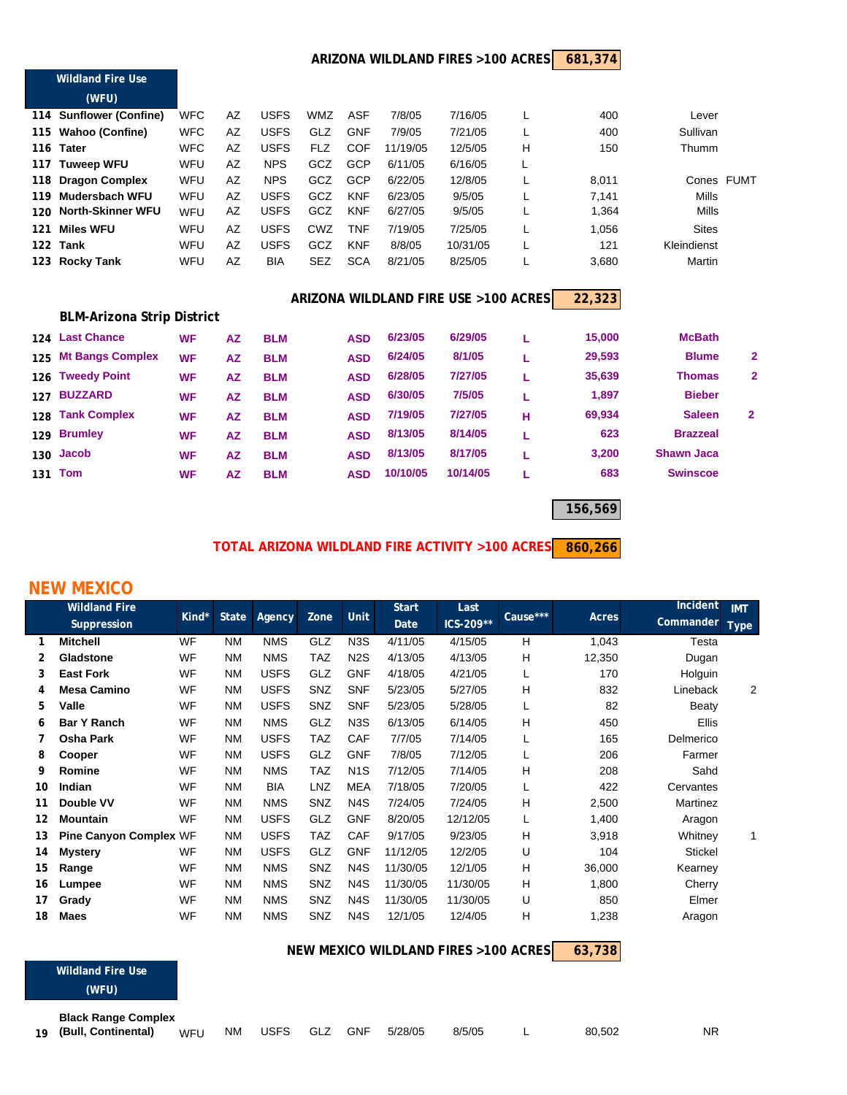#### **681,374 ARIZONA WILDLAND FIRES >100 ACRES**

|     | <b>Wildland Fire Use</b>          |            |           |             |            |            |          |                                      |   |        |                 |                |
|-----|-----------------------------------|------------|-----------|-------------|------------|------------|----------|--------------------------------------|---|--------|-----------------|----------------|
|     | (WFU)                             |            |           |             |            |            |          |                                      |   |        |                 |                |
|     | 114 Sunflower (Confine)           | <b>WFC</b> | AZ        | <b>USFS</b> | <b>WMZ</b> | <b>ASF</b> | 7/8/05   | 7/16/05                              |   | 400    | Lever           |                |
| 115 | <b>Wahoo (Confine)</b>            | <b>WFC</b> | AZ        | <b>USFS</b> | GLZ        | <b>GNF</b> | 7/9/05   | 7/21/05                              |   | 400    | Sullivan        |                |
| 116 | <b>Tater</b>                      | <b>WFC</b> | AZ        | <b>USFS</b> | <b>FLZ</b> | <b>COF</b> | 11/19/05 | 12/5/05                              | H | 150    | Thumm           |                |
|     | 117 Tuweep WFU                    | WFU        | AZ        | <b>NPS</b>  | GCZ        | <b>GCP</b> | 6/11/05  | 6/16/05                              | L |        |                 |                |
| 118 | <b>Dragon Complex</b>             | WFU        | AZ        | <b>NPS</b>  | GCZ        | <b>GCP</b> | 6/22/05  | 12/8/05                              |   | 8,011  | Cones FUMT      |                |
| 119 | <b>Mudersbach WFU</b>             | <b>WFU</b> | AZ        | <b>USFS</b> | GCZ        | <b>KNF</b> | 6/23/05  | 9/5/05                               |   | 7,141  | <b>Mills</b>    |                |
| 120 | <b>North-Skinner WFU</b>          | WFU        | AZ        | <b>USFS</b> | GCZ        | <b>KNF</b> | 6/27/05  | 9/5/05                               |   | 1,364  | Mills           |                |
| 121 | <b>Miles WFU</b>                  | WFU        | AZ        | <b>USFS</b> | <b>CWZ</b> | <b>TNF</b> | 7/19/05  | 7/25/05                              |   | 1,056  | <b>Sites</b>    |                |
| 122 | Tank                              | <b>WFU</b> | AZ        | <b>USFS</b> | GCZ        | <b>KNF</b> | 8/8/05   | 10/31/05                             |   | 121    | Kleindienst     |                |
| 123 | <b>Rocky Tank</b>                 | <b>WFU</b> | AZ        | <b>BIA</b>  | <b>SEZ</b> | <b>SCA</b> | 8/21/05  | 8/25/05                              |   | 3,680  | Martin          |                |
|     |                                   |            |           |             |            |            |          | ARIZONA WILDLAND FIRE USE >100 ACRES |   | 22,323 |                 |                |
|     | <b>BLM-Arizona Strip District</b> |            |           |             |            |            |          |                                      |   |        |                 |                |
| 124 | <b>Last Chance</b>                | <b>WF</b>  | <b>AZ</b> | <b>BLM</b>  |            | <b>ASD</b> | 6/23/05  | 6/29/05                              | L | 15,000 | <b>McBath</b>   |                |
| 125 | <b>Mt Bangs Complex</b>           | <b>WF</b>  | AZ        | <b>BLM</b>  |            | <b>ASD</b> | 6/24/05  | 8/1/05                               | L | 29,593 | <b>Blume</b>    | 2              |
| 126 | <b>Tweedy Point</b>               | <b>WF</b>  | <b>AZ</b> | <b>BLM</b>  |            | <b>ASD</b> | 6/28/05  | 7/27/05                              | L | 35,639 | <b>Thomas</b>   | $\overline{2}$ |
| 127 | <b>BUZZARD</b>                    | <b>WF</b>  | <b>AZ</b> | <b>BLM</b>  |            | <b>ASD</b> | 6/30/05  | 7/5/05                               | L | 1,897  | <b>Bieber</b>   |                |
| 128 | <b>Tank Complex</b>               | <b>WF</b>  | <b>AZ</b> | <b>BLM</b>  |            | <b>ASD</b> | 7/19/05  | 7/27/05                              | н | 69,934 | <b>Saleen</b>   | 2              |
|     | 129 Brumley                       | <b>WF</b>  | <b>AZ</b> | <b>BLM</b>  |            | <b>ASD</b> | 8/13/05  | 8/14/05                              | L | 623    | <b>Brazzeal</b> |                |

**156,569**

#### **860,266 TOTAL ARIZONA WILDLAND FIRE ACTIVITY >100 ACRES**

 **Jacob WF AZ BLM ASD 8/13/05 8/17/05 L 3,200 Shawn Jaca Tom WF AZ BLM ASD 10/10/05 10/14/05 L 683 Swinscoe**

### **NEW MEXICO**

**(WFU)**

|    | <b>Wildland Fire</b>          |           |              |             |            |                  | <b>Start</b> | Last                                 |          |        | Incident     | <b>IMT</b>  |
|----|-------------------------------|-----------|--------------|-------------|------------|------------------|--------------|--------------------------------------|----------|--------|--------------|-------------|
|    | <b>Suppression</b>            | Kind*     | <b>State</b> | Agency      | Zone       | <b>Unit</b>      | Date         | ICS-209**                            | Cause*** | Acres  | Commander    | <b>Type</b> |
| 1  | <b>Mitchell</b>               | <b>WF</b> | <b>NM</b>    | <b>NMS</b>  | GLZ        | N <sub>3</sub> S | 4/11/05      | 4/15/05                              | H        | 1,043  | Testa        |             |
| 2  | Gladstone                     | WF        | <b>NM</b>    | <b>NMS</b>  | <b>TAZ</b> | N <sub>2</sub> S | 4/13/05      | 4/13/05                              | н        | 12,350 | Dugan        |             |
| 3  | <b>East Fork</b>              | <b>WF</b> | <b>NM</b>    | <b>USFS</b> | GLZ        | <b>GNF</b>       | 4/18/05      | 4/21/05                              |          | 170    | Holguin      |             |
| 4  | <b>Mesa Camino</b>            | <b>WF</b> | <b>NM</b>    | <b>USFS</b> | <b>SNZ</b> | <b>SNF</b>       | 5/23/05      | 5/27/05                              | н        | 832    | Lineback     | 2           |
| 5  | Valle                         | <b>WF</b> | <b>NM</b>    | <b>USFS</b> | SNZ        | <b>SNF</b>       | 5/23/05      | 5/28/05                              |          | 82     | Beaty        |             |
| 6  | <b>Bar Y Ranch</b>            | WF        | <b>NM</b>    | <b>NMS</b>  | GLZ        | N <sub>3</sub> S | 6/13/05      | 6/14/05                              | н        | 450    | <b>Ellis</b> |             |
| 7  | Osha Park                     | WF        | <b>NM</b>    | <b>USFS</b> | <b>TAZ</b> | CAF              | 7/7/05       | 7/14/05                              |          | 165    | Delmerico    |             |
| 8  | Cooper                        | WF        | <b>NM</b>    | <b>USFS</b> | GLZ        | <b>GNF</b>       | 7/8/05       | 7/12/05                              |          | 206    | Farmer       |             |
| 9  | Romine                        | <b>WF</b> | <b>NM</b>    | <b>NMS</b>  | <b>TAZ</b> | N <sub>1</sub> S | 7/12/05      | 7/14/05                              | н        | 208    | Sahd         |             |
| 10 | Indian                        | <b>WF</b> | <b>NM</b>    | <b>BIA</b>  | LNZ        | <b>MEA</b>       | 7/18/05      | 7/20/05                              |          | 422    | Cervantes    |             |
| 11 | Double VV                     | <b>WF</b> | <b>NM</b>    | <b>NMS</b>  | SNZ        | N <sub>4</sub> S | 7/24/05      | 7/24/05                              | н        | 2,500  | Martinez     |             |
| 12 | <b>Mountain</b>               | WF        | <b>NM</b>    | <b>USFS</b> | <b>GLZ</b> | <b>GNF</b>       | 8/20/05      | 12/12/05                             |          | 1,400  | Aragon       |             |
| 13 | <b>Pine Canyon Complex WF</b> |           | <b>NM</b>    | <b>USFS</b> | <b>TAZ</b> | CAF              | 9/17/05      | 9/23/05                              | н        | 3,918  | Whitney      | 1           |
| 14 | <b>Mystery</b>                | <b>WF</b> | <b>NM</b>    | <b>USFS</b> | <b>GLZ</b> | <b>GNF</b>       | 11/12/05     | 12/2/05                              | U        | 104    | Stickel      |             |
| 15 | Range                         | WF        | <b>NM</b>    | <b>NMS</b>  | <b>SNZ</b> | N <sub>4</sub> S | 11/30/05     | 12/1/05                              | н        | 36,000 | Kearney      |             |
| 16 | Lumpee                        | WF        | <b>NM</b>    | <b>NMS</b>  | SNZ        | N <sub>4</sub> S | 11/30/05     | 11/30/05                             | Н        | 1,800  | Cherry       |             |
| 17 | Grady                         | <b>WF</b> | <b>NM</b>    | <b>NMS</b>  | SNZ        | N <sub>4</sub> S | 11/30/05     | 11/30/05                             | U        | 850    | Elmer        |             |
| 18 | <b>Maes</b>                   | WF        | <b>NM</b>    | <b>NMS</b>  | SNZ        | N <sub>4</sub> S | 12/1/05      | 12/4/05                              | H        | 1,238  | Aragon       |             |
|    |                               |           |              |             |            |                  |              | NEW MEXICO WILDLAND FIRES >100 ACRES |          | 63,738 |              |             |
|    | <b>Wildland Fire Use</b>      |           |              |             |            |                  |              |                                      |          |        |              |             |

| <b>Black Range Complex</b> |  |  |                         |        |        |           |
|----------------------------|--|--|-------------------------|--------|--------|-----------|
| 19 (Bull, Continental) WFU |  |  | NM USFS GLZ GNF 5/28/05 | 8/5/05 | 80.502 | <b>NR</b> |